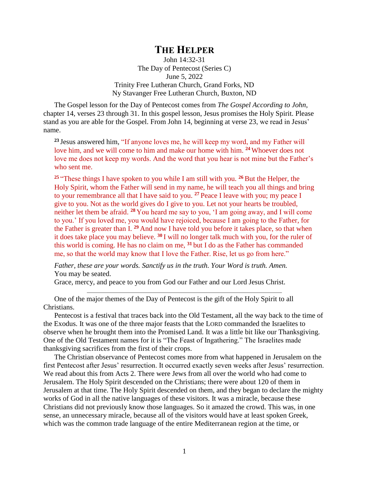## **THE HELPER**

John 14:32-31 The Day of Pentecost (Series C) June 5, 2022 Trinity Free Lutheran Church, Grand Forks, ND Ny Stavanger Free Lutheran Church, Buxton, ND

The Gospel lesson for the Day of Pentecost comes from *The Gospel According to John*, chapter 14, verses 23 through 31. In this gospel lesson, Jesus promises the Holy Spirit. Please stand as you are able for the Gospel. From John 14, beginning at verse 23, we read in Jesus' name.

**<sup>23</sup>** Jesus answered him, "If anyone loves me, he will keep my word, and my Father will love him, and we will come to him and make our home with him. **<sup>24</sup>** Whoever does not love me does not keep my words. And the word that you hear is not mine but the Father's who sent me.

**<sup>25</sup>** "These things I have spoken to you while I am still with you. **<sup>26</sup>** But the Helper, the Holy Spirit, whom the Father will send in my name, he will teach you all things and bring to your remembrance all that I have said to you. **<sup>27</sup>** Peace I leave with you; my peace I give to you. Not as the world gives do I give to you. Let not your hearts be troubled, neither let them be afraid. **<sup>28</sup>** You heard me say to you, 'I am going away, and I will come to you.' If you loved me, you would have rejoiced, because I am going to the Father, for the Father is greater than I. **<sup>29</sup>** And now I have told you before it takes place, so that when it does take place you may believe. **<sup>30</sup>** I will no longer talk much with you, for the ruler of this world is coming. He has no claim on me, **<sup>31</sup>** but I do as the Father has commanded me, so that the world may know that I love the Father. Rise, let us go from here."

*Father, these are your words. Sanctify us in the truth. Your Word is truth. Amen.* You may be seated.

Grace, mercy, and peace to you from God our Father and our Lord Jesus Christ.

One of the major themes of the Day of Pentecost is the gift of the Holy Spirit to all Christians.

Pentecost is a festival that traces back into the Old Testament, all the way back to the time of the Exodus. It was one of the three major feasts that the LORD commanded the Israelites to observe when he brought them into the Promised Land. It was a little bit like our Thanksgiving. One of the Old Testament names for it is "The Feast of Ingathering." The Israelites made thanksgiving sacrifices from the first of their crops.

The Christian observance of Pentecost comes more from what happened in Jerusalem on the first Pentecost after Jesus' resurrection. It occurred exactly seven weeks after Jesus' resurrection. We read about this from Acts 2. There were Jews from all over the world who had come to Jerusalem. The Holy Spirit descended on the Christians; there were about 120 of them in Jerusalem at that time. The Holy Spirit descended on them, and they began to declare the mighty works of God in all the native languages of these visitors. It was a miracle, because these Christians did not previously know those languages. So it amazed the crowd. This was, in one sense, an unnecessary miracle, because all of the visitors would have at least spoken Greek, which was the common trade language of the entire Mediterranean region at the time, or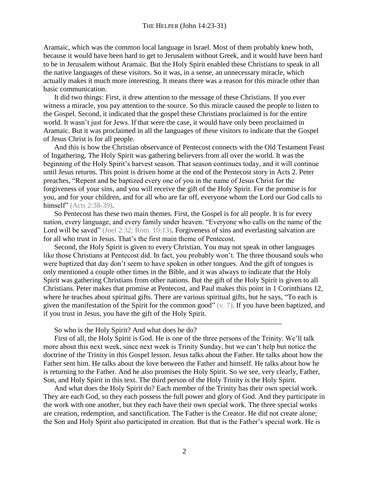Aramaic, which was the common local language in Israel. Most of them probably knew both, because it would have been hard to get to Jerusalem without Greek, and it would have been hard to be in Jerusalem without Aramaic. But the Holy Spirit enabled these Christians to speak in all the native languages of these visitors. So it was, in a sense, an unnecessary miracle, which actually makes it much more interesting. It means there was a reason for this miracle other than basic communication.

It did two things: First, it drew attention to the message of these Christians. If you ever witness a miracle, you pay attention to the source. So this miracle caused the people to listen to the Gospel. Second, it indicated that the gospel these Christians proclaimed is for the entire world. It wasn't just for Jews. If that were the case, it would have only been proclaimed in Aramaic. But it was proclaimed in all the languages of these visitors to indicate that the Gospel of Jesus Christ is for all people.

And this is how the Christian observance of Pentecost connects with the Old Testament Feast of Ingathering. The Holy Spirit was gathering believers from all over the world. It was the beginning of the Holy Spirit's harvest season. That season continues today, and it will continue until Jesus returns. This point is driven home at the end of the Pentecost story in Acts 2. Peter preaches, "Repent and be baptized every one of you in the name of Jesus Christ for the forgiveness of your sins, and you will receive the gift of the Holy Spirit. For the promise is for you, and for your children, and for all who are far off, everyone whom the Lord our God calls to himself" (Acts 2:38-39).

So Pentecost has these two main themes. First, the Gospel is for all people. It is for every nation, every language, and every family under heaven. "Everyone who calls on the name of the Lord will be saved" (Joel 2:32; Rom. 10:13). Forgiveness of sins and everlasting salvation are for all who trust in Jesus. That's the first main theme of Pentecost.

Second, the Holy Spirit is given to every Christian. You may not speak in other languages like those Christians at Pentecost did. In fact, you probably won't. The three thousand souls who were baptized that day don't seem to have spoken in other tongues. And the gift of tongues is only mentioned a couple other times in the Bible, and it was always to indicate that the Holy Spirit was gathering Christians from other nations. But the gift of the Holy Spirit is given to all Christians. Peter makes that promise at Pentecost, and Paul makes this point in 1 Corinthians 12, where he teaches about spiritual gifts. There are various spiritual gifts, but he says, "To each is given the manifestation of the Spirit for the common good" (v. 7). If you have been baptized, and if you trust in Jesus, you have the gift of the Holy Spirit.

So who is the Holy Spirit? And what does he do?

First of all, the Holy Spirit is God. He is one of the three persons of the Trinity. We'll talk more about this next week, since next week is Trinity Sunday, but we can't help but notice the doctrine of the Trinity in this Gospel lesson. Jesus talks about the Father. He talks about how the Father sent him. He talks about the love between the Father and himself. He talks about how he is returning to the Father. And he also promises the Holy Spirit. So we see, very clearly, Father, Son, and Holy Spirit in this text. The third person of the Holy Trinity is the Holy Spirit.

And what does the Holy Spirit do? Each member of the Trinity has their own special work. They are each God, so they each possess the full power and glory of God. And they participate in the work with one another, but they each have their own special work. The three special works are creation, redemption, and sanctification. The Father is the Creator. He did not create alone; the Son and Holy Spirit also participated in creation. But that is the Father's special work. He is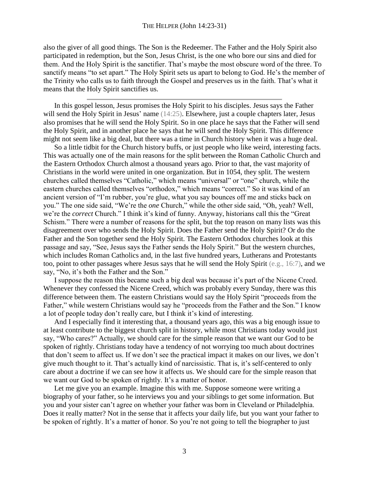also the giver of all good things. The Son is the Redeemer. The Father and the Holy Spirit also participated in redemption, but the Son, Jesus Christ, is the one who bore our sins and died for them. And the Holy Spirit is the sanctifier. That's maybe the most obscure word of the three. To sanctify means "to set apart." The Holy Spirit sets us apart to belong to God. He's the member of the Trinity who calls us to faith through the Gospel and preserves us in the faith. That's what it means that the Holy Spirit sanctifies us.

In this gospel lesson, Jesus promises the Holy Spirit to his disciples. Jesus says the Father will send the Holy Spirit in Jesus' name (14:25). Elsewhere, just a couple chapters later, Jesus also promises that he will send the Holy Spirit. So in one place he says that the Father will send the Holy Spirit, and in another place he says that he will send the Holy Spirit. This difference might not seem like a big deal, but there was a time in Church history when it was a huge deal.

So a little tidbit for the Church history buffs, or just people who like weird, interesting facts. This was actually one of the main reasons for the split between the Roman Catholic Church and the Eastern Orthodox Church almost a thousand years ago. Prior to that, the vast majority of Christians in the world were united in one organization. But in 1054, they split. The western churches called themselves "Catholic," which means "universal" or "one" church, while the eastern churches called themselves "orthodox," which means "correct." So it was kind of an ancient version of "I'm rubber, you're glue, what you say bounces off me and sticks back on you." The one side said, "We're the *one* Church," while the other side said, "Oh, yeah? Well, we're the *correct* Church." I think it's kind of funny. Anyway, historians call this the "Great Schism." There were a number of reasons for the split, but the top reason on many lists was this disagreement over who sends the Holy Spirit. Does the Father send the Holy Spirit? Or do the Father and the Son together send the Holy Spirit. The Eastern Orthodox churches look at this passage and say, "See, Jesus says the Father sends the Holy Spirit." But the western churches, which includes Roman Catholics and, in the last five hundred years, Lutherans and Protestants too, point to other passages where Jesus says that he will send the Holy Spirit (e.g., 16:7), and we say, "No, it's both the Father and the Son."

I suppose the reason this became such a big deal was because it's part of the Nicene Creed. Whenever they confessed the Nicene Creed, which was probably every Sunday, there was this difference between them. The eastern Christians would say the Holy Spirit "proceeds from the Father," while western Christians would say he "proceeds from the Father and the Son." I know a lot of people today don't really care, but I think it's kind of interesting.

And I especially find it interesting that, a thousand years ago, this was a big enough issue to at least contribute to the biggest church split in history, while most Christians today would just say, "Who cares?" Actually, we should care for the simple reason that we want our God to be spoken of rightly. Christians today have a tendency of not worrying too much about doctrines that don't seem to affect us. If we don't see the practical impact it makes on our lives, we don't give much thought to it. That's actually kind of narcissistic. That is, it's self-centered to only care about a doctrine if we can see how it affects us. We should care for the simple reason that we want our God to be spoken of rightly. It's a matter of honor.

Let me give you an example. Imagine this with me. Suppose someone were writing a biography of your father, so he interviews you and your siblings to get some information. But you and your sister can't agree on whether your father was born in Cleveland or Philadelphia. Does it really matter? Not in the sense that it affects your daily life, but you want your father to be spoken of rightly. It's a matter of honor. So you're not going to tell the biographer to just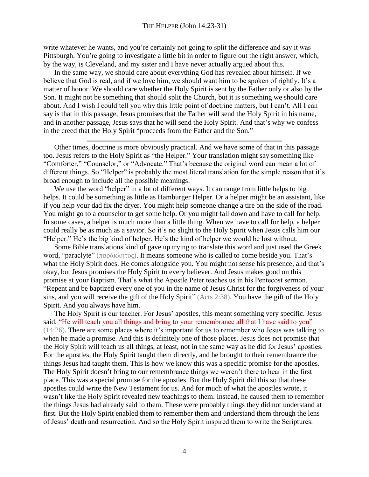write whatever he wants, and you're certainly not going to split the difference and say it was Pittsburgh. You're going to investigate a little bit in order to figure out the right answer, which, by the way, is Cleveland, and my sister and I have never actually argued about this.

In the same way, we should care about everything God has revealed about himself. If we believe that God is real, and if we love him, we should want him to be spoken of rightly. It's a matter of honor. We should care whether the Holy Spirit is sent by the Father only or also by the Son. It might not be something that should split the Church, but it is something we should care about. And I wish I could tell you why this little point of doctrine matters, but I can't. All I can say is that in this passage, Jesus promises that the Father will send the Holy Spirit in his name, and in another passage, Jesus says that he will send the Holy Spirit. And that's why we confess in the creed that the Holy Spirit "proceeds from the Father and the Son."

Other times, doctrine is more obviously practical. And we have some of that in this passage too. Jesus refers to the Holy Spirit as "the Helper." Your translation might say something like "Comforter," "Counselor," or "Advocate." That's because the original word can mean a lot of different things. So "Helper" is probably the most literal translation for the simple reason that it's broad enough to include all the possible meanings.

We use the word "helper" in a lot of different ways. It can range from little helps to big helps. It could be something as little as Hamburger Helper. Or a helper might be an assistant, like if you help your dad fix the dryer. You might help someone change a tire on the side of the road. You might go to a counselor to get some help. Or you might fall down and have to call for help. In some cases, a helper is much more than a little thing. When we have to call for help, a helper could really be as much as a savior. So it's no slight to the Holy Spirit when Jesus calls him our "Helper." He's the big kind of helper. He's the kind of helper we would be lost without.

Some Bible translations kind of gave up trying to translate this word and just used the Greek word, "paraclyte" (παράκλητος). It means someone who is called to come beside you. That's what the Holy Spirit does. He comes alongside you. You might not sense his presence, and that's okay, but Jesus promises the Holy Spirit to every believer. And Jesus makes good on this promise at your Baptism. That's what the Apostle Peter teaches us in his Pentecost sermon. "Repent and be baptized every one of you in the name of Jesus Christ for the forgiveness of your sins, and you will receive the gift of the Holy Spirit" (Acts 2:38). You have the gift of the Holy Spirit. And you always have him.

The Holy Spirit is our teacher. For Jesus' apostles, this meant something very specific. Jesus said, "He will teach you all things and bring to your remembrance all that I have said to you" (14:26). There are some places where it's important for us to remember who Jesus was talking to when he made a promise. And this is definitely one of those places. Jesus does not promise that the Holy Spirit will teach us all things, at least, not in the same way as he did for Jesus' apostles. For the apostles, the Holy Spirit taught them directly, and he brought to their remembrance the things Jesus had taught them. This is how we know this was a specific promise for the apostles. The Holy Spirit doesn't bring to our remembrance things we weren't there to hear in the first place. This was a special promise for the apostles. But the Holy Spirit did this so that these apostles could write the New Testament for us. And for much of what the apostles wrote, it wasn't like the Holy Spirit revealed new teachings to them. Instead, he caused them to remember the things Jesus had already said to them. These were probably things they did not understand at first. But the Holy Spirit enabled them to remember them and understand them through the lens of Jesus' death and resurrection. And so the Holy Spirit inspired them to write the Scriptures.